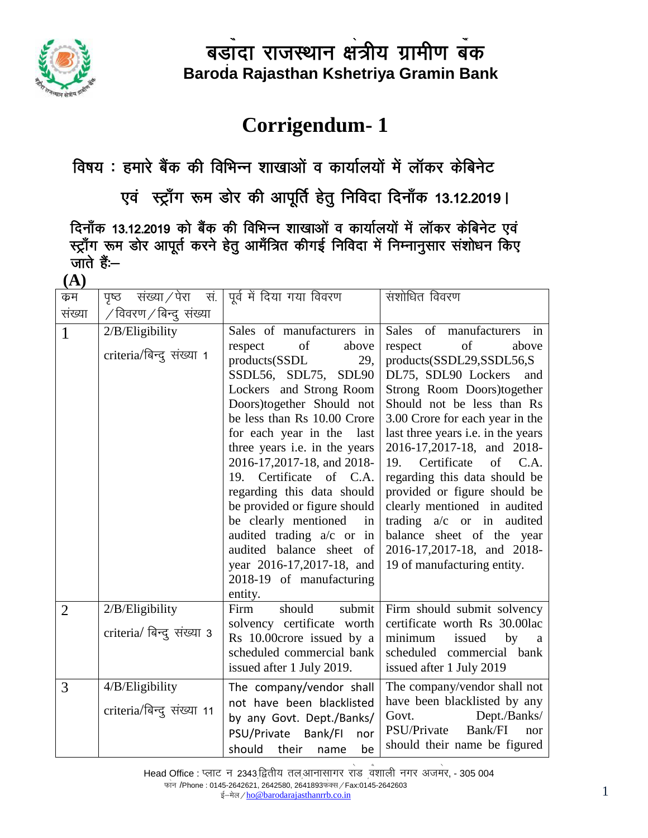

#### **Corrigendum-1** S

<u> विषय : हमारे बैंक की विभिन्न शाखाओं व कार्यालयों में लॉकर केबिनेट</u>

एवं स्ट्राँग रूम डोर की आपूर्ति हेतु निविदा दिनाँक 13.12.2019 |

दिनाँक 13.12.2019 को बैंक की विभिन्न शाखाओं व कार्यालयों में लॉकर केबिनेट एवं स्ट्राँग रूम डोर आपूर्त करने हेतु आमँत्रित कीगई निविदा में निम्नानुसार संशोधन किए जाते हैं:—

**(A)**

| क्रम           | पृष्ठ संख्या ⁄ पेरा सं.                 | पूर्व में दिया गया विवरण                                   | संशोधित विवरण                                                |
|----------------|-----------------------------------------|------------------------------------------------------------|--------------------------------------------------------------|
| संख्या         | $\sqrt{}$ विवरण $\sqrt{}$ बिन्दु संख्या |                                                            |                                                              |
| 1              | 2/B/Eligibility                         | Sales of manufacturers in                                  | Sales of manufacturers<br>in                                 |
|                | criteria/बिन्दु संख्या 1                | of<br>respect<br>above                                     | of<br>respect<br>above                                       |
|                |                                         | products(SSDL<br>29,                                       | products(SSDL29,SSDL56,S                                     |
|                |                                         | SSDL56, SDL75, SDL90<br>Lockers and Strong Room            | DL75, SDL90 Lockers<br>and<br>Strong Room Doors)together     |
|                |                                         | Doors)together Should not                                  | Should not be less than Rs                                   |
|                |                                         | be less than Rs 10.00 Crore                                | 3.00 Crore for each year in the                              |
|                |                                         | for each year in the<br>last                               | last three years <i>i.e.</i> in the years                    |
|                |                                         | three years <i>i.e.</i> in the years                       | 2016-17,2017-18, and 2018-                                   |
|                |                                         | 2016-17,2017-18, and 2018-                                 | Certificate<br>19.<br>$\sigma$ f<br>C.A.                     |
|                |                                         | Certificate<br>of C.A.<br>19.                              | regarding this data should be                                |
|                |                                         | regarding this data should<br>be provided or figure should | provided or figure should be<br>clearly mentioned in audited |
|                |                                         | be clearly mentioned<br>in                                 | trading $a/c$ or in audited                                  |
|                |                                         | audited trading a/c or in                                  | balance sheet of the year                                    |
|                |                                         | audited balance sheet of                                   | 2016-17,2017-18, and 2018-                                   |
|                |                                         | year 2016-17,2017-18, and                                  | 19 of manufacturing entity.                                  |
|                |                                         | 2018-19 of manufacturing                                   |                                                              |
|                |                                         | entity.                                                    |                                                              |
| $\overline{2}$ | 2/B/Eligibility                         | should<br>Firm<br>submit                                   | Firm should submit solvency<br>certificate worth Rs 30.001ac |
|                | criteria/ बिन्दु संख्या 3               | solvency certificate worth<br>Rs 10.00crore issued by a    | minimum<br>issued<br>by<br>a                                 |
|                |                                         | scheduled commercial bank                                  | scheduled commercial bank                                    |
|                |                                         | issued after 1 July 2019.                                  | issued after 1 July 2019                                     |
| 3              | 4/B/Eligibility                         | The company/vendor shall                                   | The company/vendor shall not                                 |
|                | criteria/बिन्दु संख्या 11               | not have been blacklisted                                  | have been blacklisted by any                                 |
|                |                                         | by any Govt. Dept./Banks/                                  | Govt.<br>Dept./Banks/                                        |
|                |                                         | PSU/Private<br>Bank/FI<br>nor                              | Bank/FI<br>PSU/Private<br>nor                                |
|                |                                         | should their<br>name<br>be                                 | should their name be figured                                 |

Head Office : प्लाट न 2343 द्वितीय तल आनासागर राड बंशाली नगर अजमर, - 305 004 S फान /Phone : 0145-2642621, 2642580, 2641893फक्स ∕ Fax:0145-2642603 s +3-2642621, 2642560, 26416934441/ Fax:0145-2642603<br>ई—मेल / <u>[h](mailto:ho@barodarajasthanrrb.co.in)o@barodarajasthanrrb.co.in</u> 1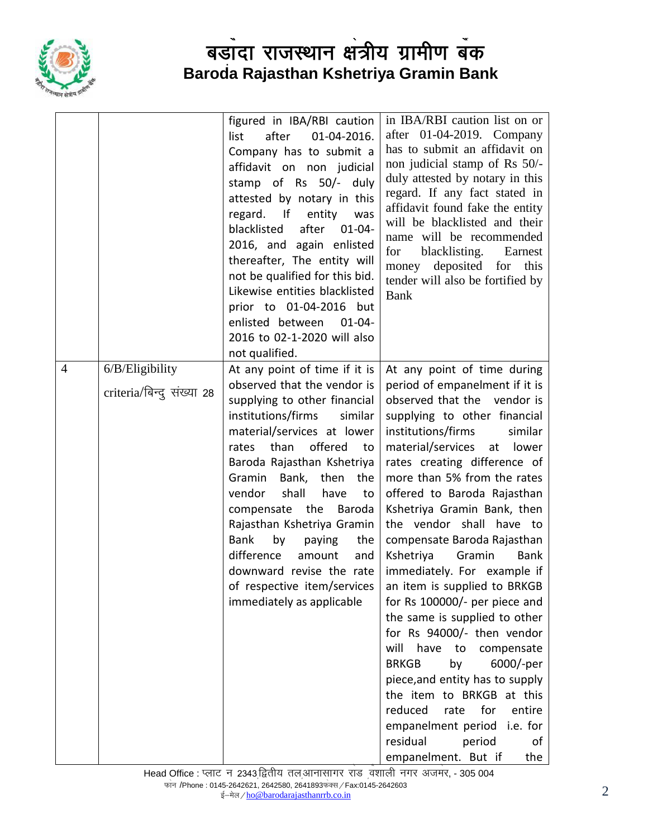

|                |                                              | figured in IBA/RBI caution<br>after<br>01-04-2016.<br>list<br>Company has to submit a<br>affidavit on non judicial<br>stamp of Rs 50/- duly<br>attested by notary in this<br>regard. If<br>entity<br>was<br>blacklisted<br>after<br>$01 - 04 -$<br>2016, and again enlisted<br>thereafter, The entity will<br>not be qualified for this bid.<br>Likewise entities blacklisted<br>prior to 01-04-2016 but<br>enlisted between<br>$01 - 04 -$<br>2016 to 02-1-2020 will also<br>not qualified.       | in IBA/RBI caution list on or<br>after $01-04-2019$ . Company<br>has to submit an affidavit on<br>non judicial stamp of Rs 50/-<br>duly attested by notary in this<br>regard. If any fact stated in<br>affidavit found fake the entity<br>will be blacklisted and their<br>name will be recommended<br>blacklisting. Earnest<br>for<br>deposited for<br>this<br>money<br>tender will also be fortified by<br>Bank                                                                                                                                                                                                                                                                                                                                                                                                                                           |
|----------------|----------------------------------------------|----------------------------------------------------------------------------------------------------------------------------------------------------------------------------------------------------------------------------------------------------------------------------------------------------------------------------------------------------------------------------------------------------------------------------------------------------------------------------------------------------|-------------------------------------------------------------------------------------------------------------------------------------------------------------------------------------------------------------------------------------------------------------------------------------------------------------------------------------------------------------------------------------------------------------------------------------------------------------------------------------------------------------------------------------------------------------------------------------------------------------------------------------------------------------------------------------------------------------------------------------------------------------------------------------------------------------------------------------------------------------|
| $\overline{4}$ | 6/B/Eligibility<br>criteria/बिन्दु संख्या 28 | At any point of time if it is<br>observed that the vendor is<br>supplying to other financial<br>institutions/firms<br>similar<br>material/services at lower<br>offered<br>than<br>rates<br>to<br>Baroda Rajasthan Kshetriya<br>Gramin Bank, then the<br>vendor<br>shall<br>have<br>to<br>compensate the Baroda<br>Rajasthan Kshetriya Gramin<br>Bank<br>by<br>paying<br>the<br>difference<br>amount<br>and<br>downward revise the rate<br>of respective item/services<br>immediately as applicable | At any point of time during<br>period of empanelment if it is<br>observed that the vendor is<br>supplying to other financial<br>similar<br>institutions/firms<br>material/services<br>at lower<br>rates creating difference of<br>more than 5% from the rates<br>offered to Baroda Rajasthan<br>Kshetriya Gramin Bank, then<br>the vendor shall have to<br>compensate Baroda Rajasthan<br>Kshetriya<br>Gramin<br>Bank<br>immediately. For example if<br>an item is supplied to BRKGB<br>for Rs 100000/- per piece and<br>the same is supplied to other<br>for Rs 94000/- then vendor<br>will<br>have<br>to<br>compensate<br><b>BRKGB</b><br>by<br>6000/-per<br>piece, and entity has to supply<br>the item to BRKGB at this<br>reduced<br>for<br>entire<br>rate<br>i.e. for<br>empanelment period<br>residual<br>period<br>of<br>empanelment. But if<br>the |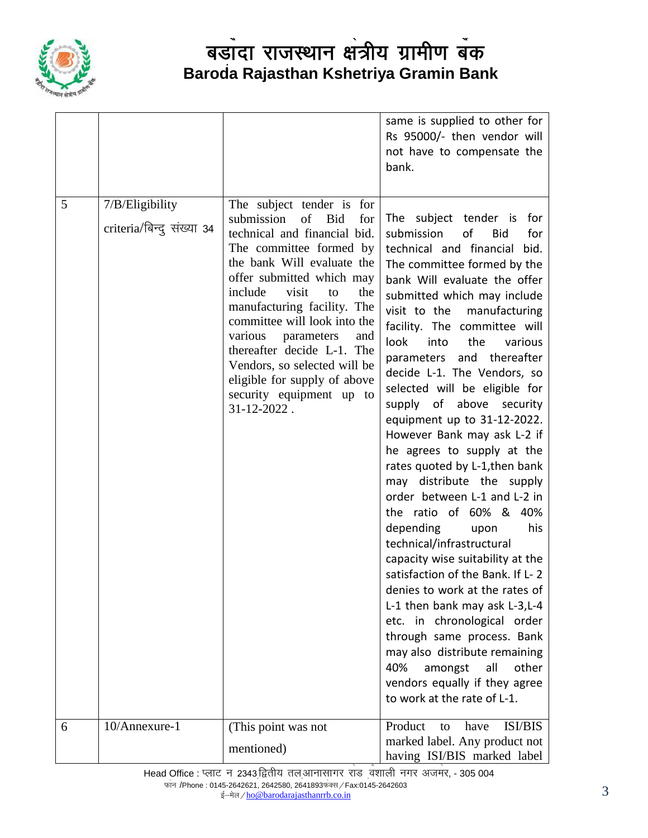

|   |                                              |                                                                                                                                                                                                                                                                                                                                                                                                                                                                   | same is supplied to other for<br>Rs 95000/- then vendor will<br>not have to compensate the<br>bank.                                                                                                                                                                                                                                                                                                                                                                                                                                                                                                                                                                                                                                                                                                                                                                                                                                                                                                                                                       |
|---|----------------------------------------------|-------------------------------------------------------------------------------------------------------------------------------------------------------------------------------------------------------------------------------------------------------------------------------------------------------------------------------------------------------------------------------------------------------------------------------------------------------------------|-----------------------------------------------------------------------------------------------------------------------------------------------------------------------------------------------------------------------------------------------------------------------------------------------------------------------------------------------------------------------------------------------------------------------------------------------------------------------------------------------------------------------------------------------------------------------------------------------------------------------------------------------------------------------------------------------------------------------------------------------------------------------------------------------------------------------------------------------------------------------------------------------------------------------------------------------------------------------------------------------------------------------------------------------------------|
| 5 | 7/B/Eligibility<br>criteria/बिन्दु संख्या 34 | The subject tender is for<br>of<br>submission<br>Bid<br>for<br>technical and financial bid.<br>The committee formed by<br>the bank Will evaluate the<br>offer submitted which may<br>include<br>visit<br>the<br>to<br>manufacturing facility. The<br>committee will look into the<br>various<br>parameters<br>and<br>thereafter decide L-1. The<br>Vendors, so selected will be<br>eligible for supply of above<br>security equipment up to<br>$31 - 12 - 2022$ . | The subject tender is for<br>submission<br>of<br><b>Bid</b><br>for<br>technical and financial<br>bid.<br>The committee formed by the<br>bank Will evaluate the offer<br>submitted which may include<br>visit to the<br>manufacturing<br>facility. The committee will<br>look<br>into<br>the<br>various<br>parameters and thereafter<br>decide L-1. The Vendors, so<br>selected will be eligible for<br>supply of above security<br>equipment up to 31-12-2022.<br>However Bank may ask L-2 if<br>he agrees to supply at the<br>rates quoted by L-1, then bank<br>may distribute the supply<br>order between L-1 and L-2 in<br>the ratio of 60% & 40%<br>depending<br>his<br>upon<br>technical/infrastructural<br>capacity wise suitability at the<br>satisfaction of the Bank. If L-2<br>denies to work at the rates of<br>L-1 then bank may ask L-3, L-4<br>etc. in chronological order<br>through same process. Bank<br>may also distribute remaining<br>40%<br>all<br>other<br>amongst<br>vendors equally if they agree<br>to work at the rate of L-1. |
| 6 | 10/Annexure-1                                | (This point was not<br>mentioned)                                                                                                                                                                                                                                                                                                                                                                                                                                 | ISI/BIS<br>Product<br>have<br>to<br>marked label. Any product not<br>having ISI/BIS marked label                                                                                                                                                                                                                                                                                                                                                                                                                                                                                                                                                                                                                                                                                                                                                                                                                                                                                                                                                          |

Head Office : प्लाट न 2343 द्वितीय तल आनासागर राड बंशाली नगर अजमर, - 305 004 S फान /Phone : 0145-2642621, 2642580, 2641893फक्स ∕ Fax:0145-2642603 s 45-2042021, 2042000, 20410939999 / Fax:0145-2042003<br>ई—मेल / <u>[h](mailto:ho@barodarajasthanrrb.co.in)o@barodarajasthanrrb.co.in</u> 3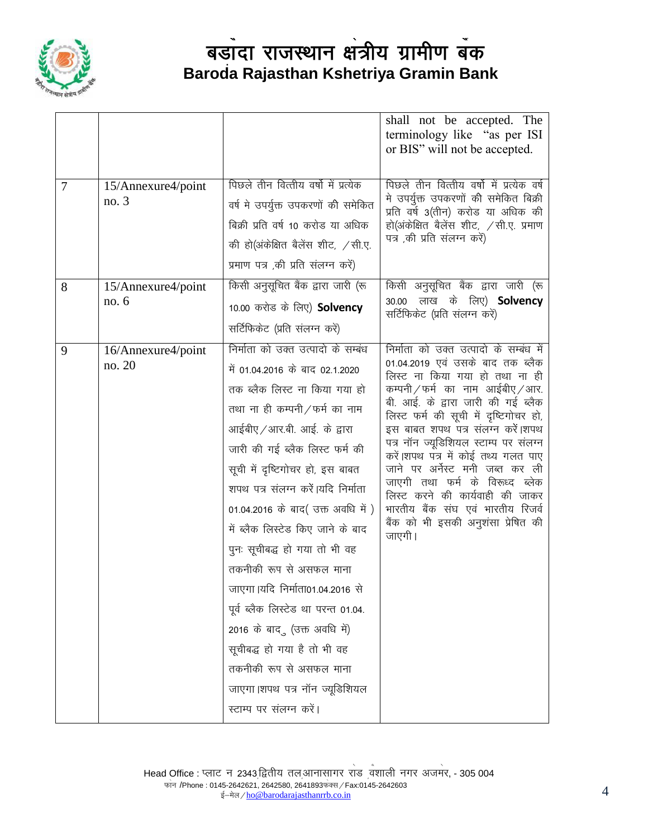

|        |                    |                                       | shall not be accepted. The<br>terminology like "as per ISI<br>or BIS" will not be accepted. |
|--------|--------------------|---------------------------------------|---------------------------------------------------------------------------------------------|
| $\tau$ | 15/Annexure4/point | पिछले तीन वित्तीय वर्षों में प्रत्येक | पिछले तीन वित्तीय वर्षों में प्रत्येक वर्ष                                                  |
|        | no.3               | वर्ष मे उपर्युक्त उपकरणों की समेकित   | मे उपर्युक्त उपकरणों की समेकित बिक्री<br>प्रति वर्ष 3(तीन) करोड या अधिक की                  |
|        |                    | बिक्री प्रति वर्ष 10 करोड या अधिक     | हो(अंकेक्षित बैलेंस शीट, /सी.ए. प्रमाण                                                      |
|        |                    | की हो(अंकेक्षित बैलेंस शीट, /सी.ए.    | पत्र ,की प्रति संलग्न करें)                                                                 |
|        |                    | प्रमाण पत्र ,की प्रति संलग्न करें)    |                                                                                             |
| 8      | 15/Annexure4/point | किसी अनुसूचित बैंक द्वारा जारी (रू    | किसी अनुसूचित बैंक द्वारा जारी (रू                                                          |
|        | no.6               | 10.00 करोड के लिए) <b>Solvency</b>    | 30.00 लाख के लिए) <b>Solvency</b><br>सर्टिफिकेट (प्रति संलग्न करें)                         |
|        |                    | सर्टिफिकेट (प्रति संलग्न करें)        |                                                                                             |
| 9      | 16/Annexure4/point | निर्माता को उक्त उत्पादो के सम्बंध    | निर्माता को उक्त उत्पादो के सम्बंध में                                                      |
|        | no. 20             | में 01.04.2016 के बाद 02.1.2020       | 01.04.2019 एवं उसके बाद तक ब्लैक<br>लिस्ट ना किया गया हो तथा ना ही                          |
|        |                    | तक ब्लैक लिस्ट ना किया गया हो         | कम्पनी / फर्म का नाम आईबीए /आर.                                                             |
|        |                    | तथा ना ही कम्पनी/फर्म का नाम          | बी. आई. के द्वारा जारी की गई ब्लैक<br>लिस्ट फर्म की सूची में दृष्टिगोचर हो,                 |
|        |                    | आईबीए / आर.बी. आई. के द्वारा          | इस बाबत शपथ पत्र संलग्न करें।शपथ                                                            |
|        |                    | जारी की गई ब्लैक लिस्ट फर्म की        | पत्र नॉन ज्यूडिशियल स्टाम्प पर संलग्न<br>करें।शपथ पत्र में कोई तथ्य गलत पाए                 |
|        |                    | सूची में दृष्टिगोचर हो, इस बाबत       | जाने पर अर्नेस्ट मनी जब्त कर ली                                                             |
|        |                    | शपथ पत्र संलग्न करें।यदि निर्माता     | जाएगी तथा फर्म के विरूध्द ब्लेक<br>लिस्ट करने की कार्यवाही की जाकर                          |
|        |                    | 01.04.2016 के बाद(उक्त अवधि में)      | भारतीय बैंक संघ एवं भारतीय रिजर्व                                                           |
|        |                    | में ब्लैक लिस्टेड किए जाने के बाद     | बैंक को भी इसकी अनुशंसा प्रेषित की<br>जाएगी ।                                               |
|        |                    | पुनः सूचीबद्ध हो गया तो भी वह         |                                                                                             |
|        |                    | तकनीकी रूप से असफल माना               |                                                                                             |
|        |                    | जाएगा।यदि निर्माता01.04.2016 से       |                                                                                             |
|        |                    | पूर्व ब्लैक लिस्टेड था परन्त 01.04.   |                                                                                             |
|        |                    | 2016 के बाद, (उक्त अवधि में)          |                                                                                             |
|        |                    | सूचीबद्ध हो गया है तो भी वह           |                                                                                             |
|        |                    | तकनीकी रूप से असफल माना               |                                                                                             |
|        |                    | जाएगा।शपथ पत्र नॉन ज्यूडिशियल         |                                                                                             |
|        |                    | स्टाम्प पर संलग्न करें।               |                                                                                             |
|        |                    |                                       |                                                                                             |